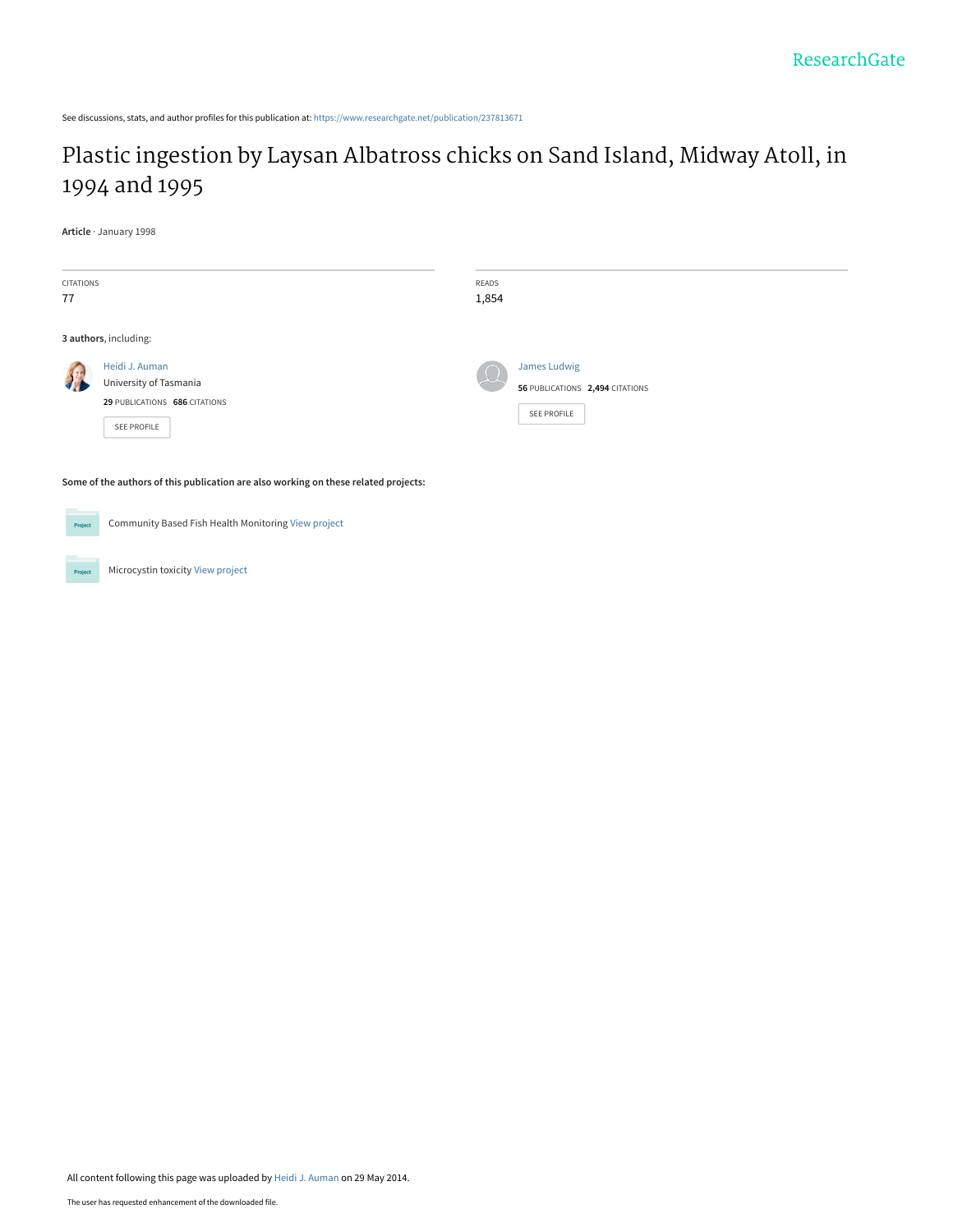See discussions, stats, and author profiles for this publication at: [https://www.researchgate.net/publication/237813671](https://www.researchgate.net/publication/237813671_Plastic_ingestion_by_Laysan_Albatross_chicks_on_Sand_Island_Midway_Atoll_in_1994_and_1995?enrichId=rgreq-9ca444046b57068fdc24bb040e7922f1-XXX&enrichSource=Y292ZXJQYWdlOzIzNzgxMzY3MTtBUzoxMDIzMDU3MDk5NTMwMzJAMTQwMTQwMjk5MDYxMA%3D%3D&el=1_x_2&_esc=publicationCoverPdf)

# [Plastic ingestion by Laysan Albatross chicks on Sand Island, Midway Atoll, in](https://www.researchgate.net/publication/237813671_Plastic_ingestion_by_Laysan_Albatross_chicks_on_Sand_Island_Midway_Atoll_in_1994_and_1995?enrichId=rgreq-9ca444046b57068fdc24bb040e7922f1-XXX&enrichSource=Y292ZXJQYWdlOzIzNzgxMzY3MTtBUzoxMDIzMDU3MDk5NTMwMzJAMTQwMTQwMjk5MDYxMA%3D%3D&el=1_x_3&_esc=publicationCoverPdf) 1994 and 1995

**Article** · January 1998

Project

| CITATIONS<br>77                                                                          | READS<br>1,854                                                        |
|------------------------------------------------------------------------------------------|-----------------------------------------------------------------------|
| 3 authors, including:                                                                    |                                                                       |
| Heidi J. Auman<br>University of Tasmania<br>29 PUBLICATIONS 686 CITATIONS<br>SEE PROFILE | James Ludwig<br>56 PUBLICATIONS 2,494 CITATIONS<br><b>SEE PROFILE</b> |
| Some of the authors of this publication are also working on these related projects:      |                                                                       |

Community Based Fish Health Monitoring [View project](https://www.researchgate.net/project/Community-Based-Fish-Health-Monitoring?enrichId=rgreq-9ca444046b57068fdc24bb040e7922f1-XXX&enrichSource=Y292ZXJQYWdlOzIzNzgxMzY3MTtBUzoxMDIzMDU3MDk5NTMwMzJAMTQwMTQwMjk5MDYxMA%3D%3D&el=1_x_9&_esc=publicationCoverPdf)

Microcystin toxicity [View project](https://www.researchgate.net/project/Microcystin-toxicity?enrichId=rgreq-9ca444046b57068fdc24bb040e7922f1-XXX&enrichSource=Y292ZXJQYWdlOzIzNzgxMzY3MTtBUzoxMDIzMDU3MDk5NTMwMzJAMTQwMTQwMjk5MDYxMA%3D%3D&el=1_x_9&_esc=publicationCoverPdf) Project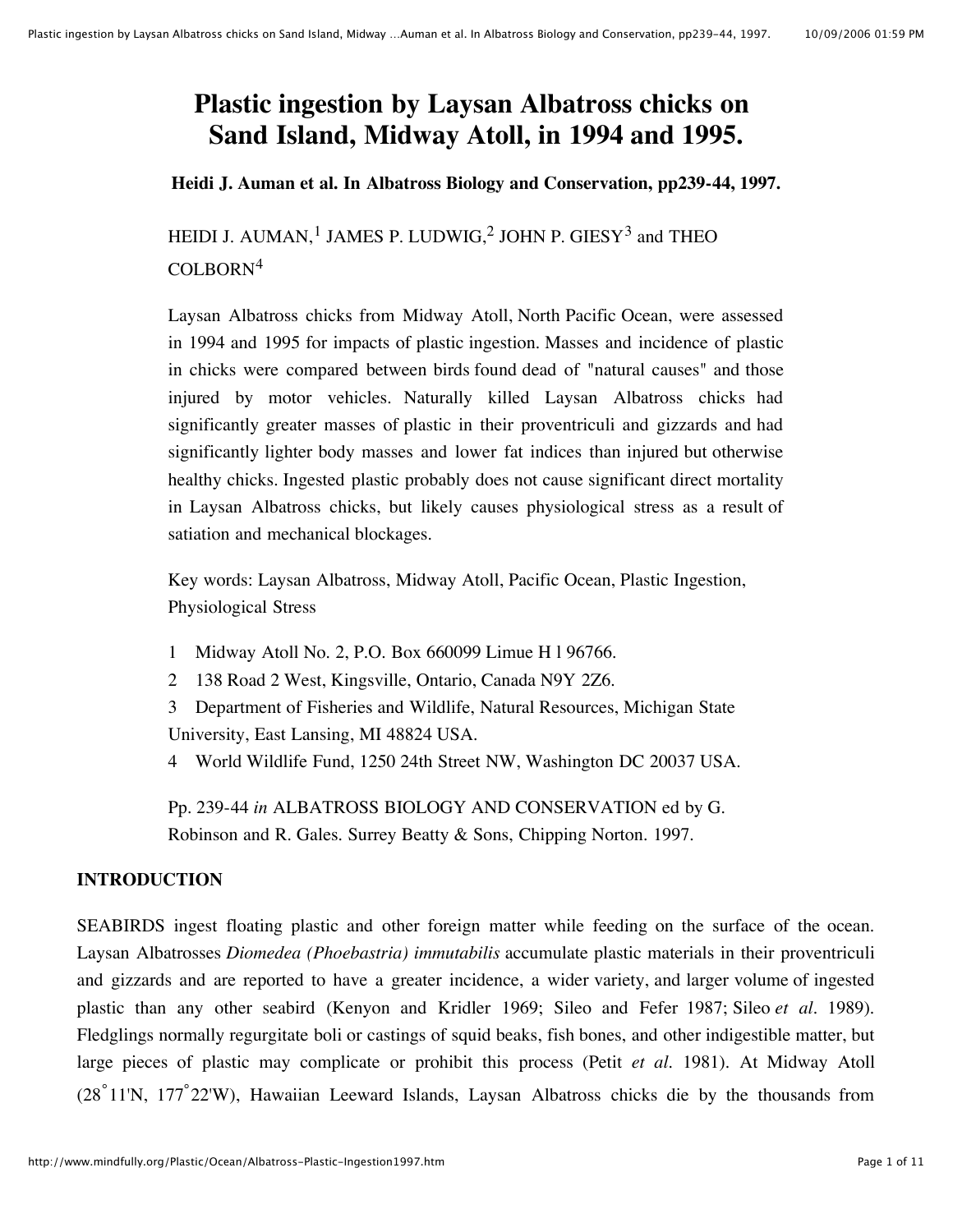# **Plastic ingestion by Laysan Albatross chicks on Sand Island, Midway Atoll, in 1994 and 1995.**

**Heidi J. Auman et al. In Albatross Biology and Conservation, pp239-44, 1997.**

HEIDI J. AUMAN,<sup>1</sup> JAMES P. LUDWIG,<sup>2</sup> JOHN P. GIESY<sup>3</sup> and THEO COLBORN<sup>4</sup>

Laysan Albatross chicks from Midway Atoll, North Pacific Ocean, were assessed in 1994 and 1995 for impacts of plastic ingestion. Masses and incidence of plastic in chicks were compared between birds found dead of "natural causes" and those injured by motor vehicles. Naturally killed Laysan Albatross chicks had significantly greater masses of plastic in their proventriculi and gizzards and had significantly lighter body masses and lower fat indices than injured but otherwise healthy chicks. Ingested plastic probably does not cause significant direct mortality in Laysan Albatross chicks, but likely causes physiological stress as a result of satiation and mechanical blockages.

Key words: Laysan Albatross, Midway Atoll, Pacific Ocean, Plastic Ingestion, Physiological Stress

- 1 Midway Atoll No. 2, P.O. Box 660099 Limue H l 96766.
- 2 138 Road 2 West, Kingsville, Ontario, Canada N9Y 2Z6.
- 3 Department of Fisheries and Wildlife, Natural Resources, Michigan State University, East Lansing, MI 48824 USA.
- 4 World Wildlife Fund, 1250 24th Street NW, Washington DC 20037 USA.

Pp. 239-44 *in* ALBATROSS BIOLOGY AND CONSERVATION ed by G. Robinson and R. Gales. Surrey Beatty & Sons, Chipping Norton. 1997.

## **INTRODUCTION**

SEABIRDS ingest floating plastic and other foreign matter while feeding on the surface of the ocean. Laysan Albatrosses *Diomedea (Phoebastria) immutabilis* accumulate plastic materials in their proventriculi and gizzards and are reported to have a greater incidence, a wider variety, and larger volume of ingested plastic than any other seabird (Kenyon and Kridler 1969; Sileo and Fefer 1987; Sileo *et al.* 1989). Fledglings normally regurgitate boli or castings of squid beaks, fish bones, and other indigestible matter, but large pieces of plastic may complicate or prohibit this process (Petit *et al.* 1981). At Midway Atoll (28° 11'N, 177°22'W), Hawaiian Leeward Islands, Laysan Albatross chicks die by the thousands from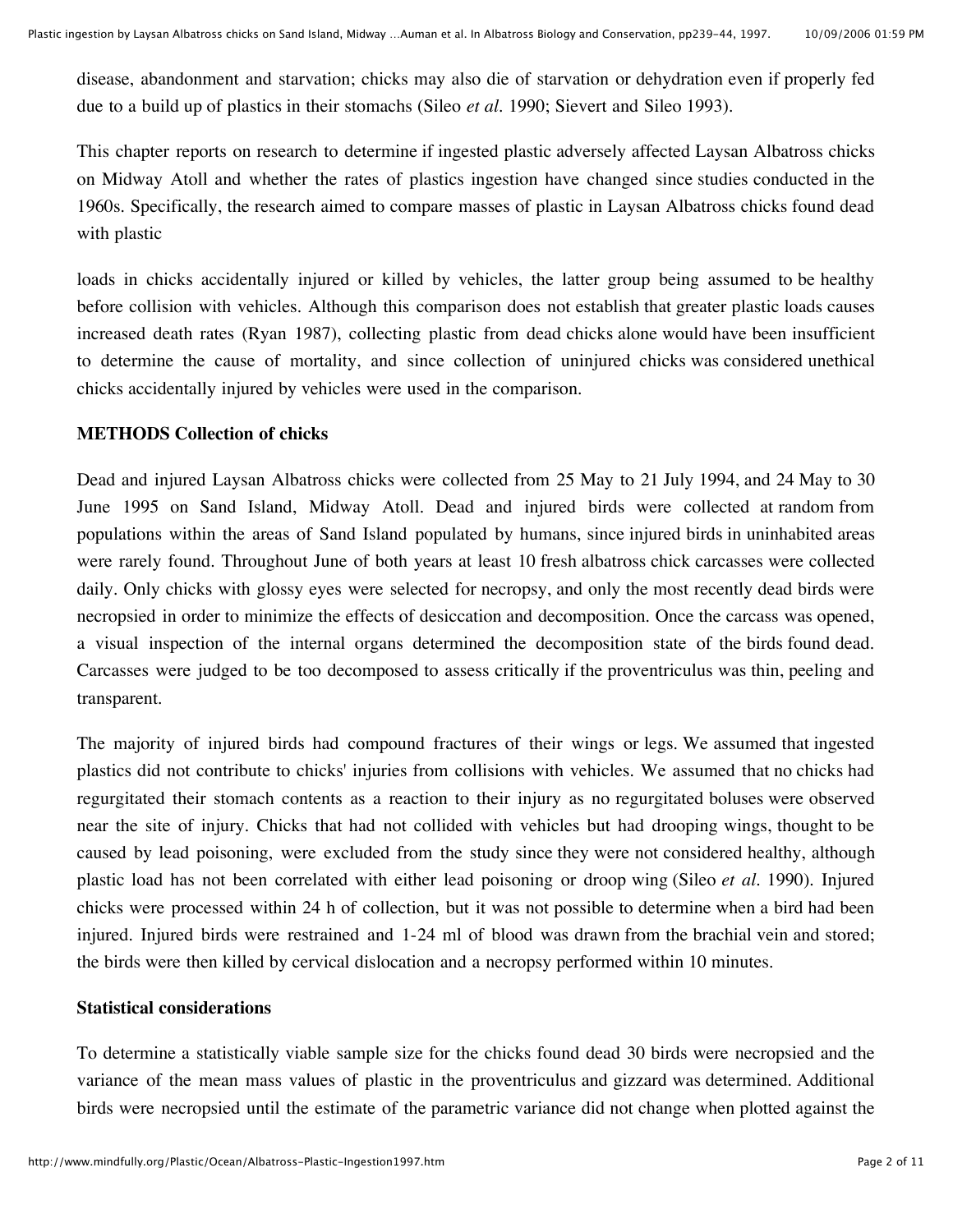disease, abandonment and starvation; chicks may also die of starvation or dehydration even if properly fed due to a build up of plastics in their stomachs (Sileo *et al.* 1990; Sievert and Sileo 1993).

This chapter reports on research to determine if ingested plastic adversely affected Laysan Albatross chicks on Midway Atoll and whether the rates of plastics ingestion have changed since studies conducted in the 1960s. Specifically, the research aimed to compare masses of plastic in Laysan Albatross chicks found dead with plastic

loads in chicks accidentally injured or killed by vehicles, the latter group being assumed to be healthy before collision with vehicles. Although this comparison does not establish that greater plastic loads causes increased death rates (Ryan 1987), collecting plastic from dead chicks alone would have been insufficient to determine the cause of mortality, and since collection of uninjured chicks was considered unethical chicks accidentally injured by vehicles were used in the comparison.

## **METHODS Collection of chicks**

Dead and injured Laysan Albatross chicks were collected from 25 May to 21 July 1994, and 24 May to 30 June 1995 on Sand Island, Midway Atoll. Dead and injured birds were collected at random from populations within the areas of Sand Island populated by humans, since injured birds in uninhabited areas were rarely found. Throughout June of both years at least 10 fresh albatross chick carcasses were collected daily. Only chicks with glossy eyes were selected for necropsy, and only the most recently dead birds were necropsied in order to minimize the effects of desiccation and decomposition. Once the carcass was opened, a visual inspection of the internal organs determined the decomposition state of the birds found dead. Carcasses were judged to be too decomposed to assess critically if the proventriculus was thin, peeling and transparent.

The majority of injured birds had compound fractures of their wings or legs. We assumed that ingested plastics did not contribute to chicks' injuries from collisions with vehicles. We assumed that no chicks had regurgitated their stomach contents as a reaction to their injury as no regurgitated boluses were observed near the site of injury. Chicks that had not collided with vehicles but had drooping wings, thought to be caused by lead poisoning, were excluded from the study since they were not considered healthy, although plastic load has not been correlated with either lead poisoning or droop wing (Sileo *et al.* 1990). Injured chicks were processed within 24 h of collection, but it was not possible to determine when a bird had been injured. Injured birds were restrained and 1-24 ml of blood was drawn from the brachial vein and stored; the birds were then killed by cervical dislocation and a necropsy performed within 10 minutes.

## **Statistical considerations**

To determine a statistically viable sample size for the chicks found dead 30 birds were necropsied and the variance of the mean mass values of plastic in the proventriculus and gizzard was determined. Additional birds were necropsied until the estimate of the parametric variance did not change when plotted against the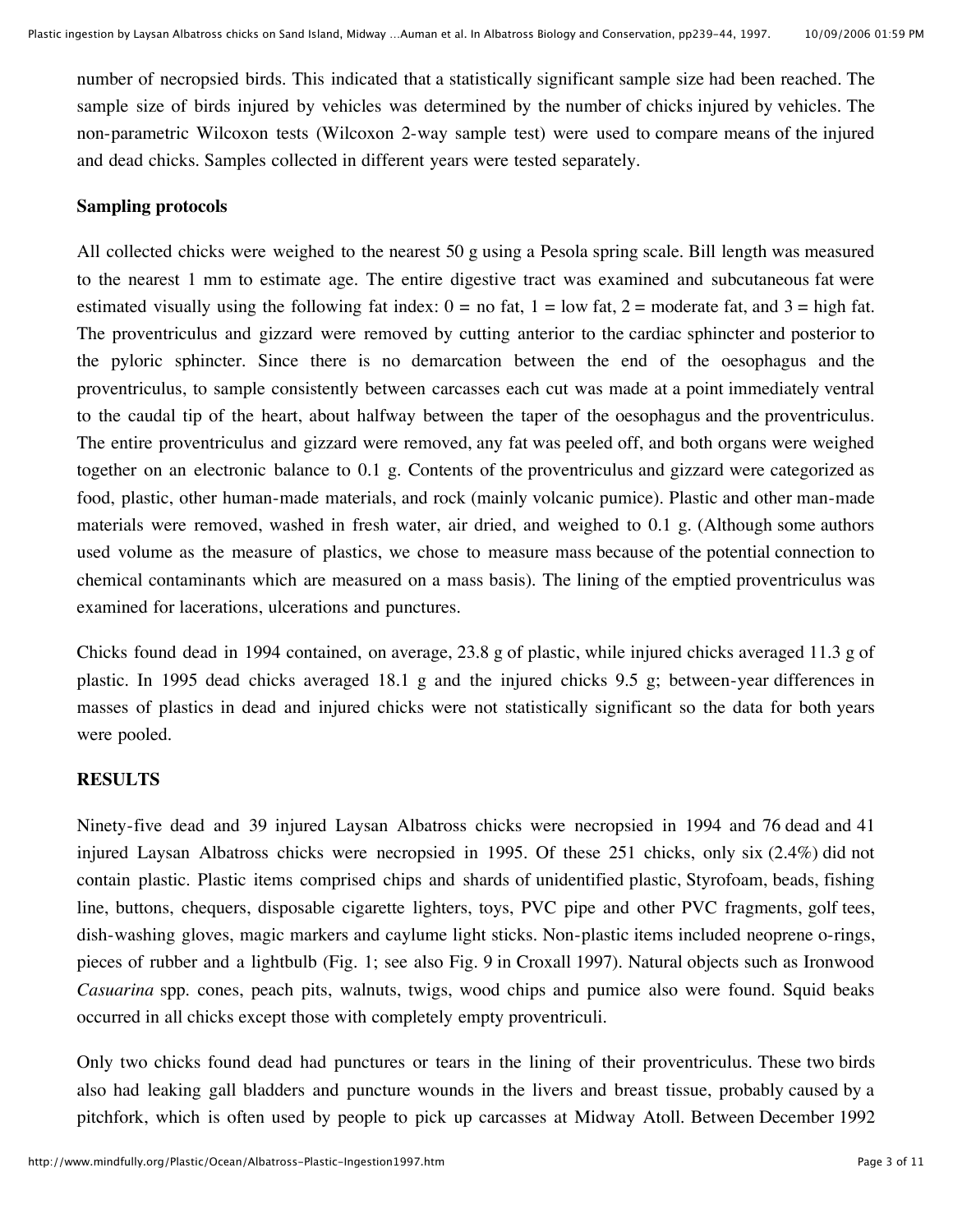number of necropsied birds. This indicated that a statistically significant sample size had been reached. The sample size of birds injured by vehicles was determined by the number of chicks injured by vehicles. The non-parametric Wilcoxon tests (Wilcoxon 2-way sample test) were used to compare means of the injured and dead chicks. Samples collected in different years were tested separately.

## **Sampling protocols**

All collected chicks were weighed to the nearest 50 g using a Pesola spring scale. Bill length was measured to the nearest 1 mm to estimate age. The entire digestive tract was examined and subcutaneous fat were estimated visually using the following fat index:  $0 =$  no fat,  $1 =$  low fat,  $2 =$  moderate fat, and  $3 =$  high fat. The proventriculus and gizzard were removed by cutting anterior to the cardiac sphincter and posterior to the pyloric sphincter. Since there is no demarcation between the end of the oesophagus and the proventriculus, to sample consistently between carcasses each cut was made at a point immediately ventral to the caudal tip of the heart, about halfway between the taper of the oesophagus and the proventriculus. The entire proventriculus and gizzard were removed, any fat was peeled off, and both organs were weighed together on an electronic balance to 0.1 g. Contents of the proventriculus and gizzard were categorized as food, plastic, other human-made materials, and rock (mainly volcanic pumice). Plastic and other man-made materials were removed, washed in fresh water, air dried, and weighed to 0.1 g. (Although some authors used volume as the measure of plastics, we chose to measure mass because of the potential connection to chemical contaminants which are measured on a mass basis). The lining of the emptied proventriculus was examined for lacerations, ulcerations and punctures.

Chicks found dead in 1994 contained, on average, 23.8 g of plastic, while injured chicks averaged 11.3 g of plastic. In 1995 dead chicks averaged 18.1 g and the injured chicks 9.5 g; between-year differences in masses of plastics in dead and injured chicks were not statistically significant so the data for both years were pooled.

## **RESULTS**

Ninety-five dead and 39 injured Laysan Albatross chicks were necropsied in 1994 and 76 dead and 41 injured Laysan Albatross chicks were necropsied in 1995. Of these 251 chicks, only six (2.4%) did not contain plastic. Plastic items comprised chips and shards of unidentified plastic, Styrofoam, beads, fishing line, buttons, chequers, disposable cigarette lighters, toys, PVC pipe and other PVC fragments, golf tees, dish-washing gloves, magic markers and caylume light sticks. Non-plastic items included neoprene o-rings, pieces of rubber and a lightbulb (Fig. 1; see also Fig. 9 in Croxall 1997). Natural objects such as Ironwood *Casuarina* spp. cones, peach pits, walnuts, twigs, wood chips and pumice also were found. Squid beaks occurred in all chicks except those with completely empty proventriculi.

Only two chicks found dead had punctures or tears in the lining of their proventriculus. These two birds also had leaking gall bladders and puncture wounds in the livers and breast tissue, probably caused by a pitchfork, which is often used by people to pick up carcasses at Midway Atoll. Between December 1992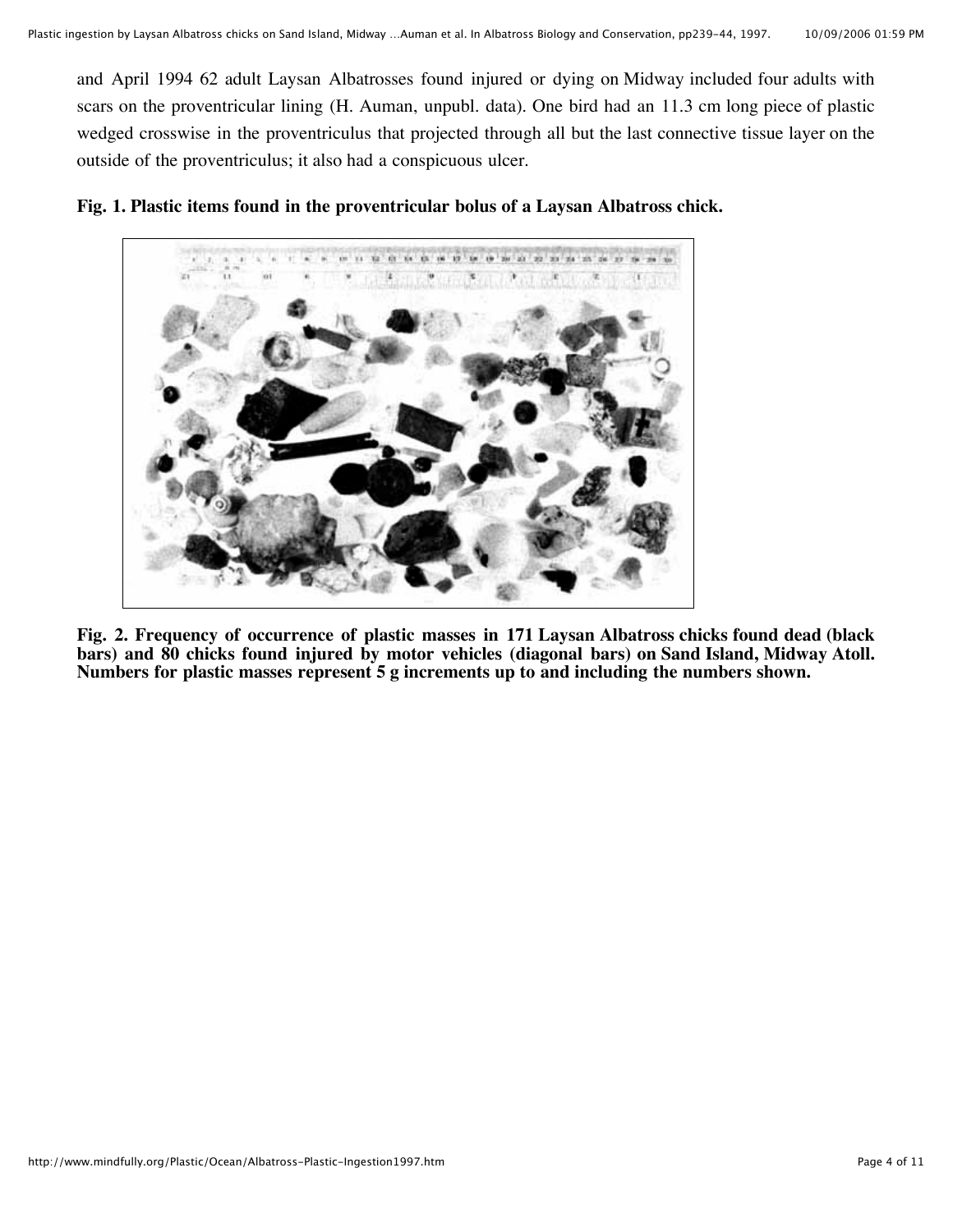and April 1994 62 adult Laysan Albatrosses found injured or dying on Midway included four adults with scars on the proventricular lining (H. Auman, unpubl. data). One bird had an 11.3 cm long piece of plastic wedged crosswise in the proventriculus that projected through all but the last connective tissue layer on the outside of the proventriculus; it also had a conspicuous ulcer.

**Fig. 1. Plastic items found in the proventricular bolus of a Laysan Albatross chick.**



**Fig. 2. Frequency of occurrence of plastic masses in 171 Laysan Albatross chicks found dead (black bars) and 80 chicks found injured by motor vehicles (diagonal bars) on Sand Island, Midway Atoll. Numbers for plastic masses represent 5 g increments up to and including the numbers shown.**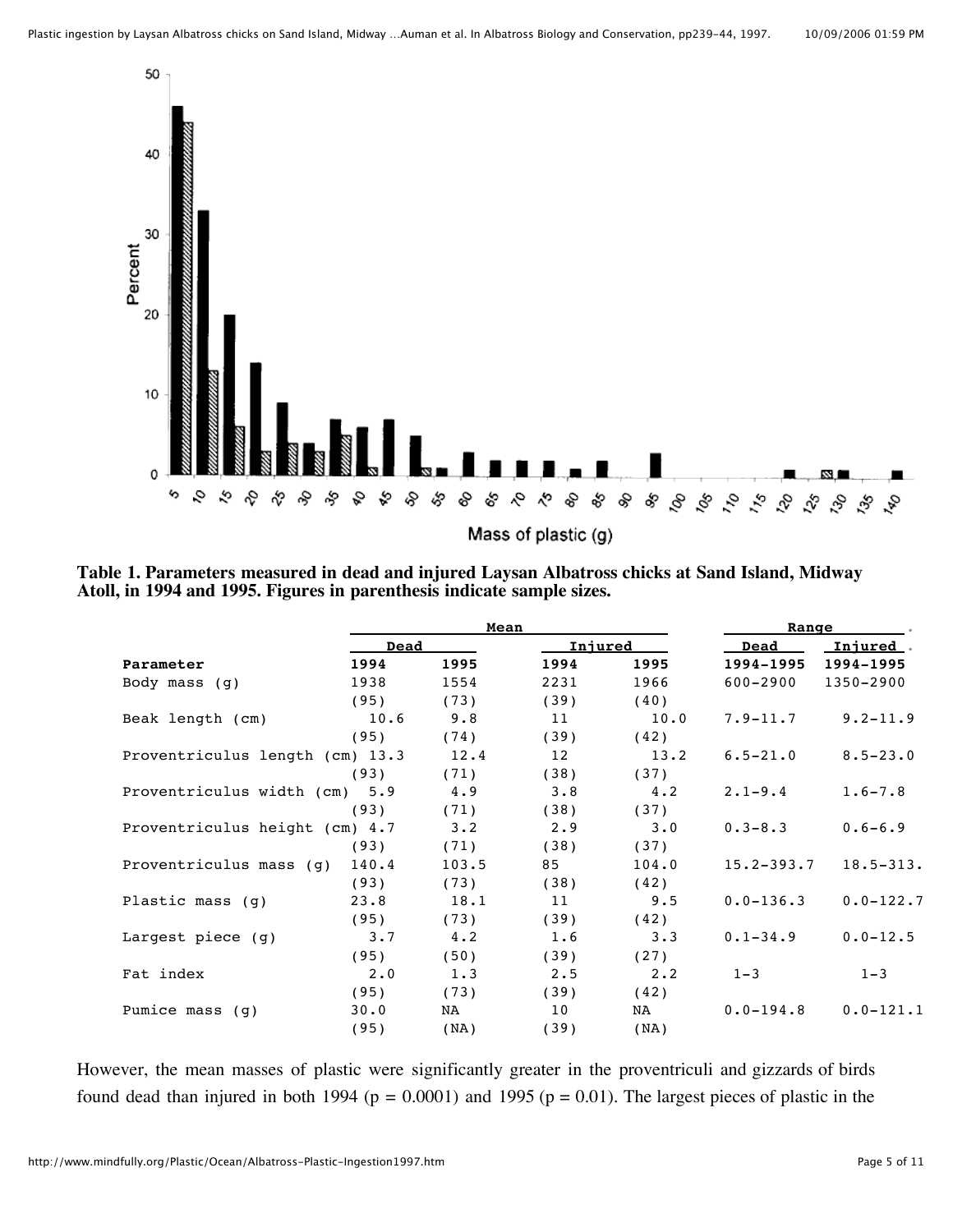

**Table 1. Parameters measured in dead and injured Laysan Albatross chicks at Sand Island, Midway Atoll, in 1994 and 1995. Figures in parenthesis indicate sample sizes.**

|                                 | Mean        |             |                 |             | Range          |               |
|---------------------------------|-------------|-------------|-----------------|-------------|----------------|---------------|
|                                 | Dead        |             | Injured         |             | Dead           | Injured.      |
| Parameter                       | 1994        | 1995        | 1994            | 1995        | 1994-1995      | 1994-1995     |
| Body mass $(q)$                 | 1938        | 1554        | 2231            | 1966        | 600-2900       | 1350-2900     |
|                                 | (95)        | (73)        | (39)            | (40)        |                |               |
| Beak length (cm)                | 10.6        | 9.8         | 11              | 10.0        | $7.9 - 11.7$   | $9.2 - 11.9$  |
|                                 | (95)        | (74)        | (39)            | (42)        |                |               |
| Proventriculus length (cm) 13.3 |             | 12.4        | 12 <sub>2</sub> | 13.2        | $6.5 - 21.0$   | $8.5 - 23.0$  |
|                                 | (93)        | (71)        | (38)            | (37)        |                |               |
| Proventriculus width (cm) 5.9   |             | 4.9         | 3.8             | $4 \cdot 2$ | $2.1 - 9.4$    | $1.6 - 7.8$   |
|                                 | (93)        | (71)        | (38)            | (37)        |                |               |
| Proventriculus height (cm) 4.7  |             | $3 \cdot 2$ | 2.9             | $3 \cdot 0$ | $0.3 - 8.3$    | $0.6 - 6.9$   |
|                                 | (93)        | (71)        | (38)            | (37)        |                |               |
| Proventriculus mass (q)         | 140.4       | 103.5       | 85              | 104.0       | $15.2 - 393.7$ | $18.5 - 313.$ |
|                                 | (93)        | (73)        | (38)            | (42)        |                |               |
| Plastic mass (q)                | 23.8        | 18.1        | 11              | 9.5         | $0.0 - 136.3$  | $0.0 - 122.7$ |
|                                 | (95)        | (73)        | (39)            | (42)        |                |               |
| Largest piece (g)               | 3.7         | $4 \cdot 2$ | 1.6             | 3.3         | $0.1 - 34.9$   | $0.0 - 12.5$  |
|                                 | (95)        | (50)        | (39)            | (27)        |                |               |
| Fat index                       | $2 \cdot 0$ | 1.3         | 2.5             | $2 \cdot 2$ | $1 - 3$        | $1 - 3$       |
|                                 | (95)        | (73)        | (39)            | (42)        |                |               |
| Pumice mass (g)                 | 30.0        | NA          | 10              | NA          | $0.0 - 194.8$  | $0.0 - 121.1$ |
|                                 | (95)        | (MA)        | (39)            | (NA)        |                |               |

However, the mean masses of plastic were significantly greater in the proventriculi and gizzards of birds found dead than injured in both 1994 ( $p = 0.0001$ ) and 1995 ( $p = 0.01$ ). The largest pieces of plastic in the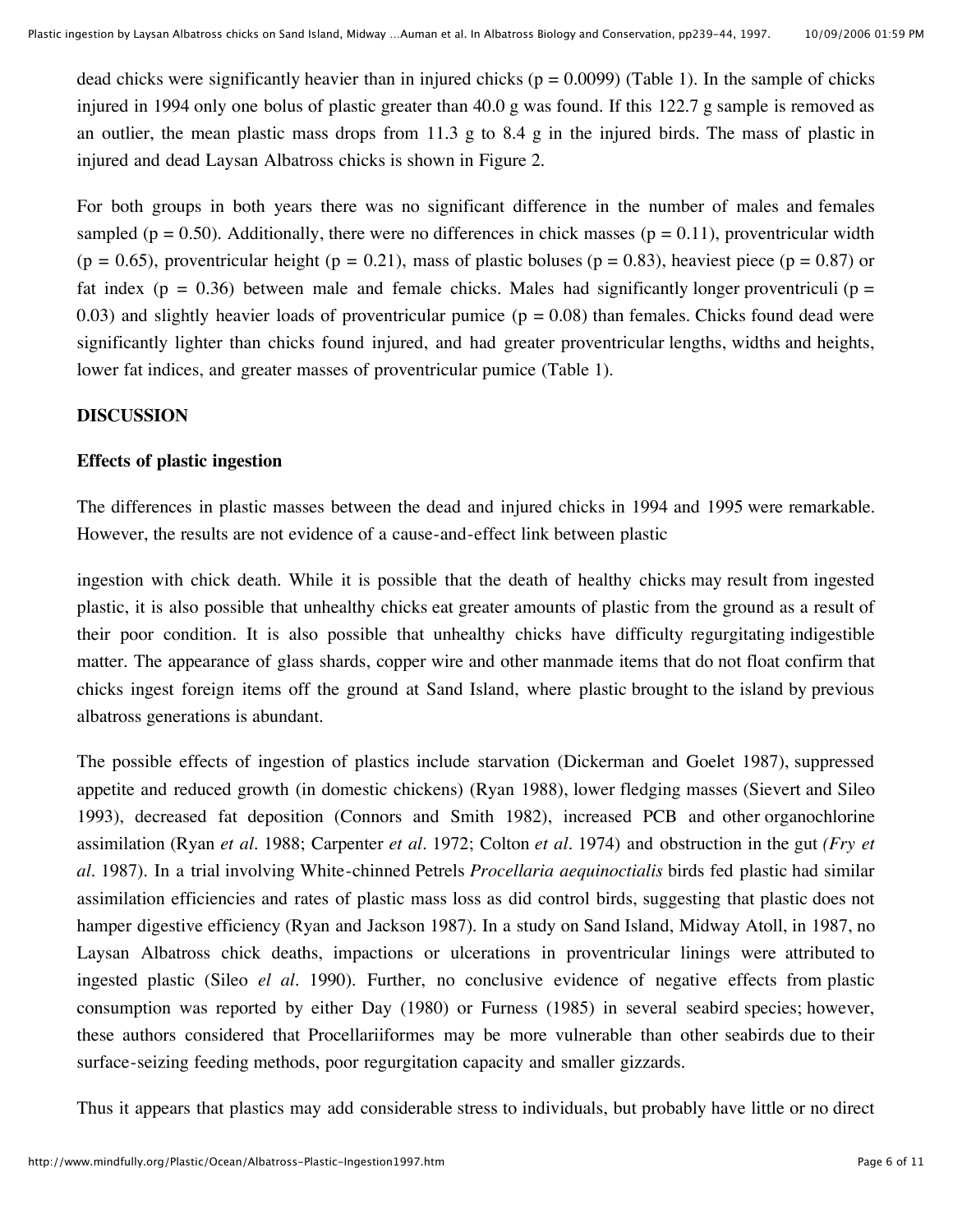dead chicks were significantly heavier than in injured chicks ( $p = 0.0099$ ) (Table 1). In the sample of chicks injured in 1994 only one bolus of plastic greater than 40.0 g was found. If this 122.7 g sample is removed as an outlier, the mean plastic mass drops from 11.3 g to 8.4 g in the injured birds. The mass of plastic in injured and dead Laysan Albatross chicks is shown in Figure 2.

For both groups in both years there was no significant difference in the number of males and females sampled ( $p = 0.50$ ). Additionally, there were no differences in chick masses ( $p = 0.11$ ), proventricular width (p = 0.65), proventricular height (p = 0.21), mass of plastic boluses (p = 0.83), heaviest piece (p = 0.87) or fat index ( $p = 0.36$ ) between male and female chicks. Males had significantly longer proventriculi ( $p =$ 0.03) and slightly heavier loads of proventricular pumice ( $p = 0.08$ ) than females. Chicks found dead were significantly lighter than chicks found injured, and had greater proventricular lengths, widths and heights, lower fat indices, and greater masses of proventricular pumice (Table 1).

## **DISCUSSION**

## **Effects of plastic ingestion**

The differences in plastic masses between the dead and injured chicks in 1994 and 1995 were remarkable. However, the results are not evidence of a cause-and-effect link between plastic

ingestion with chick death. While it is possible that the death of healthy chicks may result from ingested plastic, it is also possible that unhealthy chicks eat greater amounts of plastic from the ground as a result of their poor condition. It is also possible that unhealthy chicks have difficulty regurgitating indigestible matter. The appearance of glass shards, copper wire and other manmade items that do not float confirm that chicks ingest foreign items off the ground at Sand Island, where plastic brought to the island by previous albatross generations is abundant.

The possible effects of ingestion of plastics include starvation (Dickerman and Goelet 1987), suppressed appetite and reduced growth (in domestic chickens) (Ryan 1988), lower fledging masses (Sievert and Sileo 1993), decreased fat deposition (Connors and Smith 1982), increased PCB and other organochlorine assimilation (Ryan *et al.* 1988; Carpenter *et al.* 1972; Colton *et al.* 1974) and obstruction in the gut *(Fry et al.* 1987). In a trial involving White-chinned Petrels *Procellaria aequinoctialis* birds fed plastic had similar assimilation efficiencies and rates of plastic mass loss as did control birds, suggesting that plastic does not hamper digestive efficiency (Ryan and Jackson 1987). In a study on Sand Island, Midway Atoll, in 1987, no Laysan Albatross chick deaths, impactions or ulcerations in proventricular linings were attributed to ingested plastic (Sileo *el al.* 1990). Further, no conclusive evidence of negative effects from plastic consumption was reported by either Day (1980) or Furness (1985) in several seabird species; however, these authors considered that Procellariiformes may be more vulnerable than other seabirds due to their surface-seizing feeding methods, poor regurgitation capacity and smaller gizzards.

Thus it appears that plastics may add considerable stress to individuals, but probably have little or no direct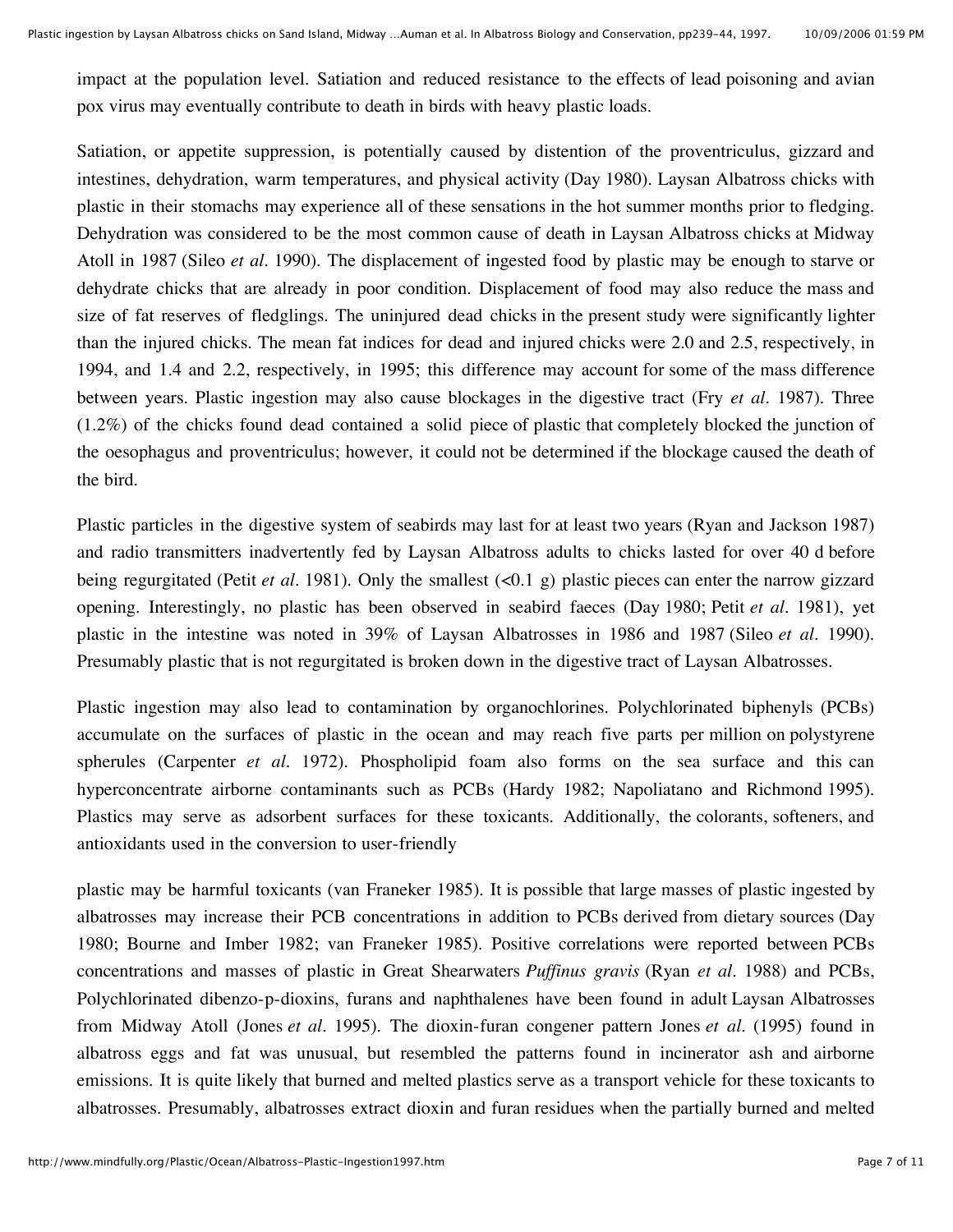impact at the population level. Satiation and reduced resistance to the effects of lead poisoning and avian pox virus may eventually contribute to death in birds with heavy plastic loads.

Satiation, or appetite suppression, is potentially caused by distention of the proventriculus, gizzard and intestines, dehydration, warm temperatures, and physical activity (Day 1980). Laysan Albatross chicks with plastic in their stomachs may experience all of these sensations in the hot summer months prior to fledging. Dehydration was considered to be the most common cause of death in Laysan Albatross chicks at Midway Atoll in 1987 (Sileo *et al.* 1990). The displacement of ingested food by plastic may be enough to starve or dehydrate chicks that are already in poor condition. Displacement of food may also reduce the mass and size of fat reserves of fledglings. The uninjured dead chicks in the present study were significantly lighter than the injured chicks. The mean fat indices for dead and injured chicks were 2.0 and 2.5, respectively, in 1994, and 1.4 and 2.2, respectively, in 1995; this difference may account for some of the mass difference between years. Plastic ingestion may also cause blockages in the digestive tract (Fry *et al.* 1987). Three (1.2%) of the chicks found dead contained a solid piece of plastic that completely blocked the junction of the oesophagus and proventriculus; however, it could not be determined if the blockage caused the death of the bird.

Plastic particles in the digestive system of seabirds may last for at least two years (Ryan and Jackson 1987) and radio transmitters inadvertently fed by Laysan Albatross adults to chicks lasted for over 40 d before being regurgitated (Petit *et al.* 1981). Only the smallest (<0.1 g) plastic pieces can enter the narrow gizzard opening. Interestingly, no plastic has been observed in seabird faeces (Day 1980; Petit *et al.* 1981), yet plastic in the intestine was noted in 39% of Laysan Albatrosses in 1986 and 1987 (Sileo *et al.* 1990). Presumably plastic that is not regurgitated is broken down in the digestive tract of Laysan Albatrosses.

Plastic ingestion may also lead to contamination by organochlorines. Polychlorinated biphenyls (PCBs) accumulate on the surfaces of plastic in the ocean and may reach five parts per million on polystyrene spherules (Carpenter *et al.* 1972). Phospholipid foam also forms on the sea surface and this can hyperconcentrate airborne contaminants such as PCBs (Hardy 1982; Napoliatano and Richmond 1995). Plastics may serve as adsorbent surfaces for these toxicants. Additionally, the colorants, softeners, and antioxidants used in the conversion to user-friendly

plastic may be harmful toxicants (van Franeker 1985). It is possible that large masses of plastic ingested by albatrosses may increase their PCB concentrations in addition to PCBs derived from dietary sources (Day 1980; Bourne and Imber 1982; van Franeker 1985). Positive correlations were reported between PCBs concentrations and masses of plastic in Great Shearwaters *Puffinus gravis* (Ryan *et al.* 1988) and PCBs, Polychlorinated dibenzo-p-dioxins, furans and naphthalenes have been found in adult Laysan Albatrosses from Midway Atoll (Jones *et al.* 1995). The dioxin-furan congener pattern Jones *et al.* (1995) found in albatross eggs and fat was unusual, but resembled the patterns found in incinerator ash and airborne emissions. It is quite likely that burned and melted plastics serve as a transport vehicle for these toxicants to albatrosses. Presumably, albatrosses extract dioxin and furan residues when the partially burned and melted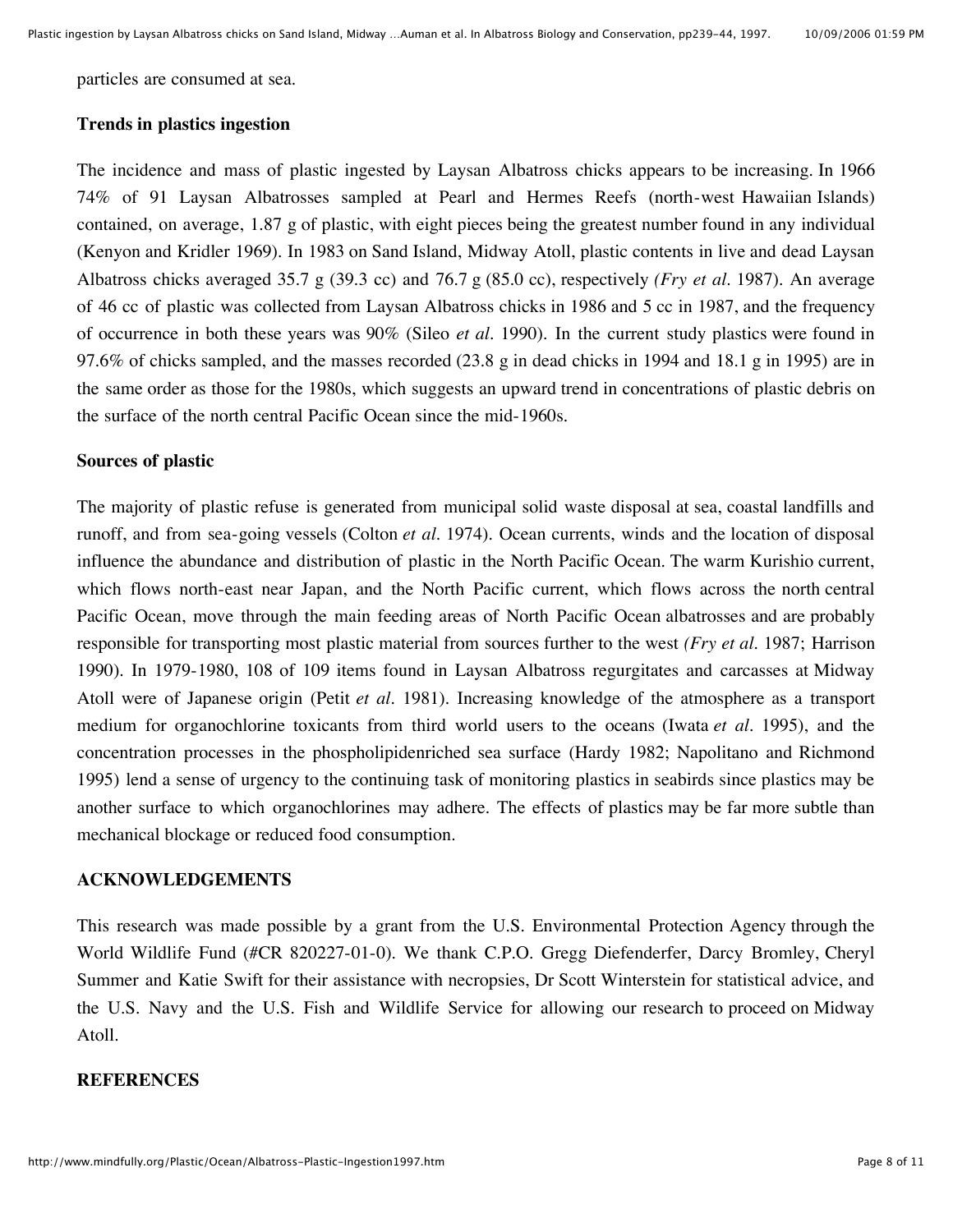particles are consumed at sea.

### **Trends in plastics ingestion**

The incidence and mass of plastic ingested by Laysan Albatross chicks appears to be increasing. In 1966 74% of 91 Laysan Albatrosses sampled at Pearl and Hermes Reefs (north-west Hawaiian Islands) contained, on average, 1.87 g of plastic, with eight pieces being the greatest number found in any individual (Kenyon and Kridler 1969). In 1983 on Sand Island, Midway Atoll, plastic contents in live and dead Laysan Albatross chicks averaged 35.7 g (39.3 cc) and 76.7 g (85.0 cc), respectively *(Fry et al.* 1987). An average of 46 cc of plastic was collected from Laysan Albatross chicks in 1986 and 5 cc in 1987, and the frequency of occurrence in both these years was 90% (Sileo *et al.* 1990). In the current study plastics were found in 97.6% of chicks sampled, and the masses recorded (23.8 g in dead chicks in 1994 and 18.1 g in 1995) are in the same order as those for the 1980s, which suggests an upward trend in concentrations of plastic debris on the surface of the north central Pacific Ocean since the mid-1960s.

### **Sources of plastic**

The majority of plastic refuse is generated from municipal solid waste disposal at sea, coastal landfills and runoff, and from sea-going vessels (Colton *et al.* 1974). Ocean currents, winds and the location of disposal influence the abundance and distribution of plastic in the North Pacific Ocean. The warm Kurishio current, which flows north-east near Japan, and the North Pacific current, which flows across the north central Pacific Ocean, move through the main feeding areas of North Pacific Ocean albatrosses and are probably responsible for transporting most plastic material from sources further to the west *(Fry et al.* 1987; Harrison 1990). In 1979-1980, 108 of 109 items found in Laysan Albatross regurgitates and carcasses at Midway Atoll were of Japanese origin (Petit *et al.* 1981). Increasing knowledge of the atmosphere as a transport medium for organochlorine toxicants from third world users to the oceans (Iwata *et al.* 1995), and the concentration processes in the phospholipidenriched sea surface (Hardy 1982; Napolitano and Richmond 1995) lend a sense of urgency to the continuing task of monitoring plastics in seabirds since plastics may be another surface to which organochlorines may adhere. The effects of plastics may be far more subtle than mechanical blockage or reduced food consumption.

### **ACKNOWLEDGEMENTS**

This research was made possible by a grant from the U.S. Environmental Protection Agency through the World Wildlife Fund (#CR 820227-01-0). We thank C.P.O. Gregg Diefenderfer, Darcy Bromley, Cheryl Summer and Katie Swift for their assistance with necropsies, Dr Scott Winterstein for statistical advice, and the U.S. Navy and the U.S. Fish and Wildlife Service for allowing our research to proceed on Midway Atoll.

#### **REFERENCES**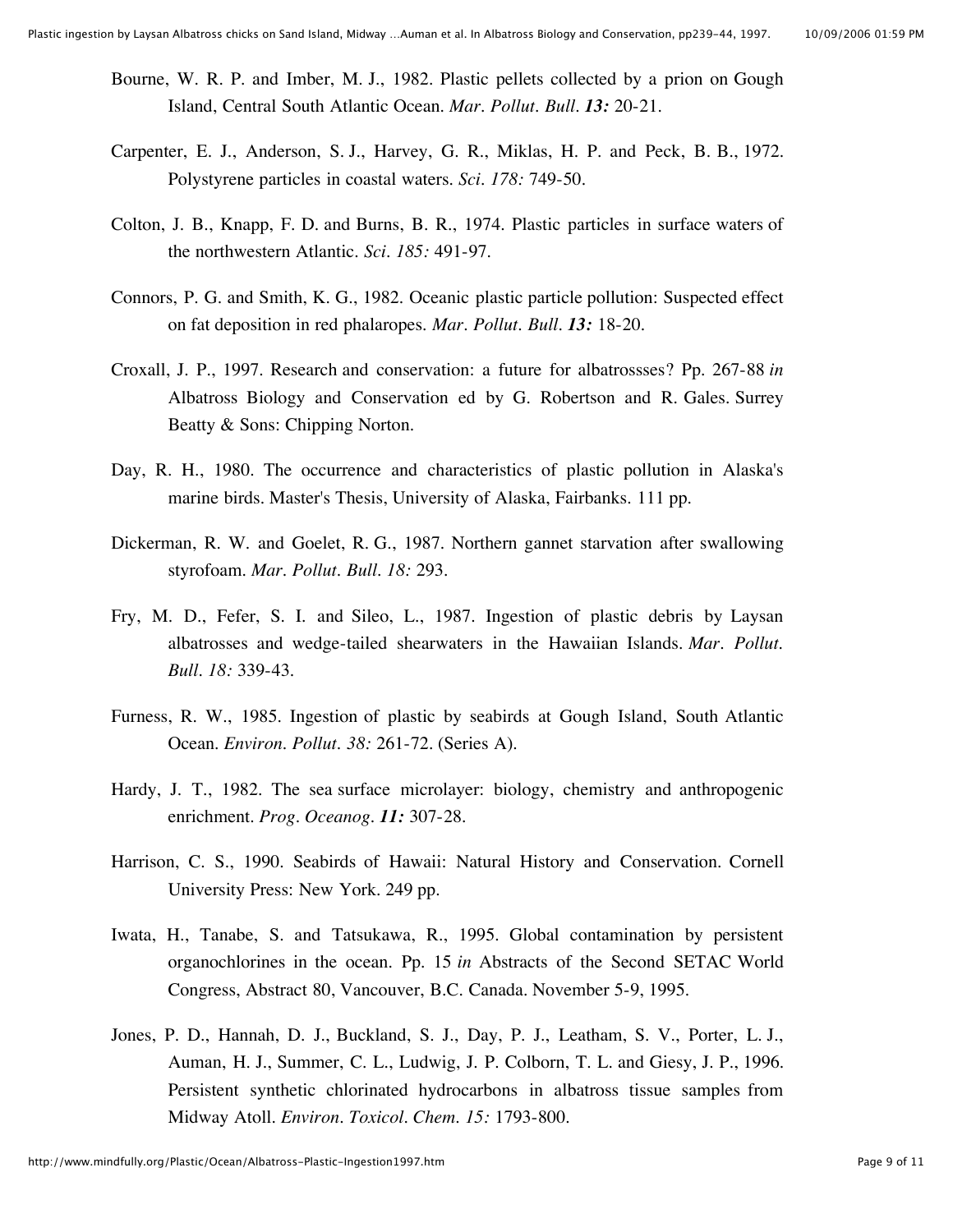- Bourne, W. R. P. and Imber, M. J., 1982. Plastic pellets collected by a prion on Gough Island, Central South Atlantic Ocean. *Mar. Pollut. Bull. 13:* 20-21.
- Carpenter, E. J., Anderson, S. J., Harvey, G. R., Miklas, H. P. and Peck, B. B., 1972. Polystyrene particles in coastal waters. *Sci. 178:* 749-50.
- Colton, J. B., Knapp, F. D. and Burns, B. R., 1974. Plastic particles in surface waters of the northwestern Atlantic. *Sci. 185:* 491-97.
- Connors, P. G. and Smith, K. G., 1982. Oceanic plastic particle pollution: Suspected effect on fat deposition in red phalaropes. *Mar. Pollut. Bull. 13:* 18-20.
- Croxall, J. P., 1997. Research and conservation: a future for albatrossses? Pp. 267-88 *in* Albatross Biology and Conservation ed by G. Robertson and R. Gales. Surrey Beatty & Sons: Chipping Norton.
- Day, R. H., 1980. The occurrence and characteristics of plastic pollution in Alaska's marine birds. Master's Thesis, University of Alaska, Fairbanks. 111 pp.
- Dickerman, R. W. and Goelet, R. G., 1987. Northern gannet starvation after swallowing styrofoam. *Mar. Pollut. Bull. 18:* 293.
- Fry, M. D., Fefer, S. I. and Sileo, L., 1987. Ingestion of plastic debris by Laysan albatrosses and wedge-tailed shearwaters in the Hawaiian Islands. *Mar. Pollut. Bull. 18:* 339-43.
- Furness, R. W., 1985. Ingestion of plastic by seabirds at Gough Island, South Atlantic Ocean. *Environ. Pollut. 38:* 261-72. (Series A).
- Hardy, J. T., 1982. The sea surface microlayer: biology, chemistry and anthropogenic enrichment. *Prog. Oceanog. 11:* 307-28.
- Harrison, C. S., 1990. Seabirds of Hawaii: Natural History and Conservation. Cornell University Press: New York. 249 pp.
- Iwata, H., Tanabe, S. and Tatsukawa, R., 1995. Global contamination by persistent organochlorines in the ocean. Pp. 15 *in* Abstracts of the Second SETAC World Congress, Abstract 80, Vancouver, B.C. Canada. November 5-9, 1995.
- Jones, P. D., Hannah, D. J., Buckland, S. J., Day, P. J., Leatham, S. V., Porter, L. J., Auman, H. J., Summer, C. L., Ludwig, J. P. Colborn, T. L. and Giesy, J. P., 1996. Persistent synthetic chlorinated hydrocarbons in albatross tissue samples from Midway Atoll. *Environ. Toxicol. Chem. 15:* 1793-800.